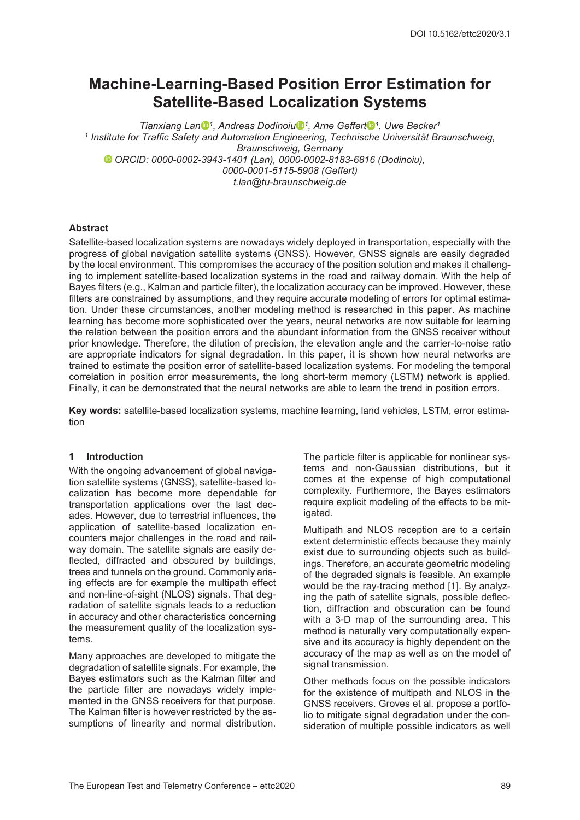# **Machine-Learning-Based Position Error Estimation for Satellite-Based Localization Systems**

*Tianxiang Lan 1, Andreas Dodinoiu 1, Arne Geffert 1, Uwe Becker1 <sup>1</sup> Institute for Traffic Safety and Automation Engineering, Technische Universität Braunschweig, Braunschweig, Germany ORCID: 0000-0002-3943-1401 (Lan), 0000-0002-8183-6816 (Dodinoiu), 0000-0001-5115-5908 (Geffert) t.lan@tu-braunschweig.de*

## **Abstract**

Satellite-based localization systems are nowadays widely deployed in transportation, especially with the progress of global navigation satellite systems (GNSS). However, GNSS signals are easily degraded by the local environment. This compromises the accuracy of the position solution and makes it challenging to implement satellite-based localization systems in the road and railway domain. With the help of Bayes filters (e.g., Kalman and particle filter), the localization accuracy can be improved. However, these filters are constrained by assumptions, and they require accurate modeling of errors for optimal estimation. Under these circumstances, another modeling method is researched in this paper. As machine learning has become more sophisticated over the years, neural networks are now suitable for learning the relation between the position errors and the abundant information from the GNSS receiver without prior knowledge. Therefore, the dilution of precision, the elevation angle and the carrier-to-noise ratio are appropriate indicators for signal degradation. In this paper, it is shown how neural networks are trained to estimate the position error of satellite-based localization systems. For modeling the temporal correlation in position error measurements, the long short-term memory (LSTM) network is applied. Finally, it can be demonstrated that the neural networks are able to learn the trend in position errors.

**Key words:** satellite-based localization systems, machine learning, land vehicles, LSTM, error estimation

#### **1 Introduction**

With the ongoing advancement of global navigation satellite systems (GNSS), satellite-based localization has become more dependable for transportation applications over the last decades. However, due to terrestrial influences, the application of satellite-based localization encounters major challenges in the road and railway domain. The satellite signals are easily deflected, diffracted and obscured by buildings, trees and tunnels on the ground. Commonly arising effects are for example the multipath effect and non-line-of-sight (NLOS) signals. That degradation of satellite signals leads to a reduction in accuracy and other characteristics concerning the measurement quality of the localization systems.

Many approaches are developed to mitigate the degradation of satellite signals. For example, the Bayes estimators such as the Kalman filter and the particle filter are nowadays widely implemented in the GNSS receivers for that purpose. The Kalman filter is however restricted by the assumptions of linearity and normal distribution. The particle filter is applicable for nonlinear systems and non-Gaussian distributions, but it comes at the expense of high computational complexity. Furthermore, the Bayes estimators require explicit modeling of the effects to be mitigated.

Multipath and NLOS reception are to a certain extent deterministic effects because they mainly exist due to surrounding objects such as buildings. Therefore, an accurate geometric modeling of the degraded signals is feasible. An example would be the ray-tracing method [1]. By analyzing the path of satellite signals, possible deflection, diffraction and obscuration can be found with a 3-D map of the surrounding area. This method is naturally very computationally expensive and its accuracy is highly dependent on the accuracy of the map as well as on the model of signal transmission.

Other methods focus on the possible indicators for the existence of multipath and NLOS in the GNSS receivers. Groves et al. propose a portfolio to mitigate signal degradation under the consideration of multiple possible indicators as well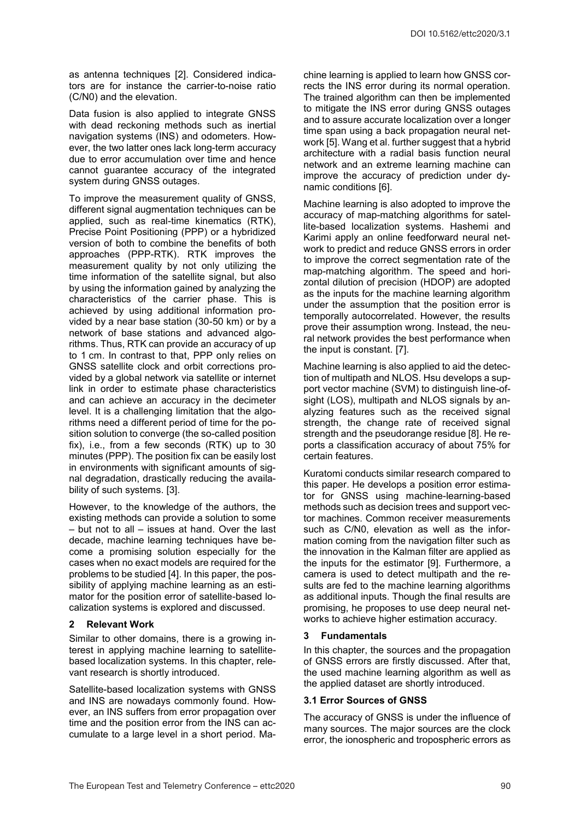as antenna techniques [2]. Considered indicators are for instance the carrier-to-noise ratio (C/N0) and the elevation.

Data fusion is also applied to integrate GNSS with dead reckoning methods such as inertial navigation systems (INS) and odometers. However, the two latter ones lack long-term accuracy due to error accumulation over time and hence cannot guarantee accuracy of the integrated system during GNSS outages.

To improve the measurement quality of GNSS, different signal augmentation techniques can be applied, such as real-time kinematics (RTK), Precise Point Positioning (PPP) or a hybridized version of both to combine the benefits of both approaches (PPP-RTK). RTK improves the measurement quality by not only utilizing the time information of the satellite signal, but also by using the information gained by analyzing the characteristics of the carrier phase. This is achieved by using additional information provided by a near base station (30-50 km) or by a network of base stations and advanced algorithms. Thus, RTK can provide an accuracy of up to 1 cm. In contrast to that, PPP only relies on GNSS satellite clock and orbit corrections provided by a global network via satellite or internet link in order to estimate phase characteristics and can achieve an accuracy in the decimeter level. It is a challenging limitation that the algorithms need a different period of time for the position solution to converge (the so-called position fix), i.e., from a few seconds (RTK) up to 30 minutes (PPP). The position fix can be easily lost in environments with significant amounts of signal degradation, drastically reducing the availability of such systems. [3].

However, to the knowledge of the authors, the existing methods can provide a solution to some – but not to all – issues at hand. Over the last decade, machine learning techniques have become a promising solution especially for the cases when no exact models are required for the problems to be studied [4]. In this paper, the possibility of applying machine learning as an estimator for the position error of satellite-based localization systems is explored and discussed.

## **2 Relevant Work**

Similar to other domains, there is a growing interest in applying machine learning to satellitebased localization systems. In this chapter, relevant research is shortly introduced.

Satellite-based localization systems with GNSS and INS are nowadays commonly found. However, an INS suffers from error propagation over time and the position error from the INS can accumulate to a large level in a short period. Machine learning is applied to learn how GNSS corrects the INS error during its normal operation. The trained algorithm can then be implemented to mitigate the INS error during GNSS outages and to assure accurate localization over a longer time span using a back propagation neural network [5]. Wang et al. further suggest that a hybrid architecture with a radial basis function neural network and an extreme learning machine can improve the accuracy of prediction under dynamic conditions [6].

Machine learning is also adopted to improve the accuracy of map-matching algorithms for satellite-based localization systems. Hashemi and Karimi apply an online feedforward neural network to predict and reduce GNSS errors in order to improve the correct segmentation rate of the map-matching algorithm. The speed and horizontal dilution of precision (HDOP) are adopted as the inputs for the machine learning algorithm under the assumption that the position error is temporally autocorrelated. However, the results prove their assumption wrong. Instead, the neural network provides the best performance when the input is constant. [7].

Machine learning is also applied to aid the detection of multipath and NLOS. Hsu develops a support vector machine (SVM) to distinguish line-ofsight (LOS), multipath and NLOS signals by analyzing features such as the received signal strength, the change rate of received signal strength and the pseudorange residue [8]. He reports a classification accuracy of about 75% for certain features.

Kuratomi conducts similar research compared to this paper. He develops a position error estimator for GNSS using machine-learning-based methods such as decision trees and support vector machines. Common receiver measurements such as C/N0, elevation as well as the information coming from the navigation filter such as the innovation in the Kalman filter are applied as the inputs for the estimator [9]. Furthermore, a camera is used to detect multipath and the results are fed to the machine learning algorithms as additional inputs. Though the final results are promising, he proposes to use deep neural networks to achieve higher estimation accuracy.

## **3 Fundamentals**

In this chapter, the sources and the propagation of GNSS errors are firstly discussed. After that, the used machine learning algorithm as well as the applied dataset are shortly introduced.

## **3.1 Error Sources of GNSS**

The accuracy of GNSS is under the influence of many sources. The major sources are the clock error, the ionospheric and tropospheric errors as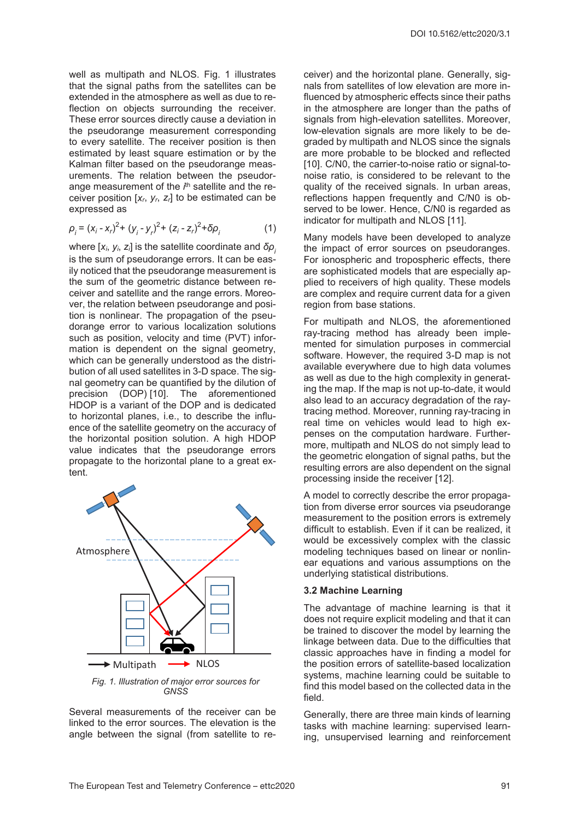well as multipath and NLOS. Fig. 1 illustrates that the signal paths from the satellites can be extended in the atmosphere as well as due to reflection on objects surrounding the receiver. These error sources directly cause a deviation in the pseudorange measurement corresponding to every satellite. The receiver position is then estimated by least square estimation or by the Kalman filter based on the pseudorange measurements. The relation between the pseudorange measurement of the *i*<sup>th</sup> satellite and the receiver position [*xr*, *yr*, *zr*] to be estimated can be expressed as

$$
\rho_{i} = (x_{i} - x_{r})^{2} + (y_{i} - y_{r})^{2} + (z_{i} - z_{r})^{2} + \delta \rho_{i}
$$
 (1)

where [*xi*, *yi*, *zi*] is the satellite coordinate and *δρ<sup>i</sup>* is the sum of pseudorange errors. It can be easily noticed that the pseudorange measurement is the sum of the geometric distance between receiver and satellite and the range errors. Moreover, the relation between pseudorange and position is nonlinear. The propagation of the pseudorange error to various localization solutions such as position, velocity and time (PVT) information is dependent on the signal geometry, which can be generally understood as the distribution of all used satellites in 3-D space. The signal geometry can be quantified by the dilution of precision (DOP) [10]. The aforementioned HDOP is a variant of the DOP and is dedicated to horizontal planes, i.e., to describe the influence of the satellite geometry on the accuracy of the horizontal position solution. A high HDOP value indicates that the pseudorange errors propagate to the horizontal plane to a great extent.



Several measurements of the receiver can be linked to the error sources. The elevation is the angle between the signal (from satellite to receiver) and the horizontal plane. Generally, signals from satellites of low elevation are more influenced by atmospheric effects since their paths in the atmosphere are longer than the paths of signals from high-elevation satellites. Moreover, low-elevation signals are more likely to be degraded by multipath and NLOS since the signals are more probable to be blocked and reflected [10]. C/N0, the carrier-to-noise ratio or signal-tonoise ratio, is considered to be relevant to the quality of the received signals. In urban areas, reflections happen frequently and C/N0 is observed to be lower. Hence, C/N0 is regarded as indicator for multipath and NLOS [11].

Many models have been developed to analyze the impact of error sources on pseudoranges. For ionospheric and tropospheric effects, there are sophisticated models that are especially applied to receivers of high quality. These models are complex and require current data for a given region from base stations.

For multipath and NLOS, the aforementioned ray-tracing method has already been implemented for simulation purposes in commercial software. However, the required 3-D map is not available everywhere due to high data volumes as well as due to the high complexity in generating the map. If the map is not up-to-date, it would also lead to an accuracy degradation of the raytracing method. Moreover, running ray-tracing in real time on vehicles would lead to high expenses on the computation hardware. Furthermore, multipath and NLOS do not simply lead to the geometric elongation of signal paths, but the resulting errors are also dependent on the signal processing inside the receiver [12].

A model to correctly describe the error propagation from diverse error sources via pseudorange measurement to the position errors is extremely difficult to establish. Even if it can be realized, it would be excessively complex with the classic modeling techniques based on linear or nonlinear equations and various assumptions on the underlying statistical distributions.

## **3.2 Machine Learning**

The advantage of machine learning is that it does not require explicit modeling and that it can be trained to discover the model by learning the linkage between data. Due to the difficulties that classic approaches have in finding a model for the position errors of satellite-based localization systems, machine learning could be suitable to find this model based on the collected data in the field.

Generally, there are three main kinds of learning tasks with machine learning: supervised learning, unsupervised learning and reinforcement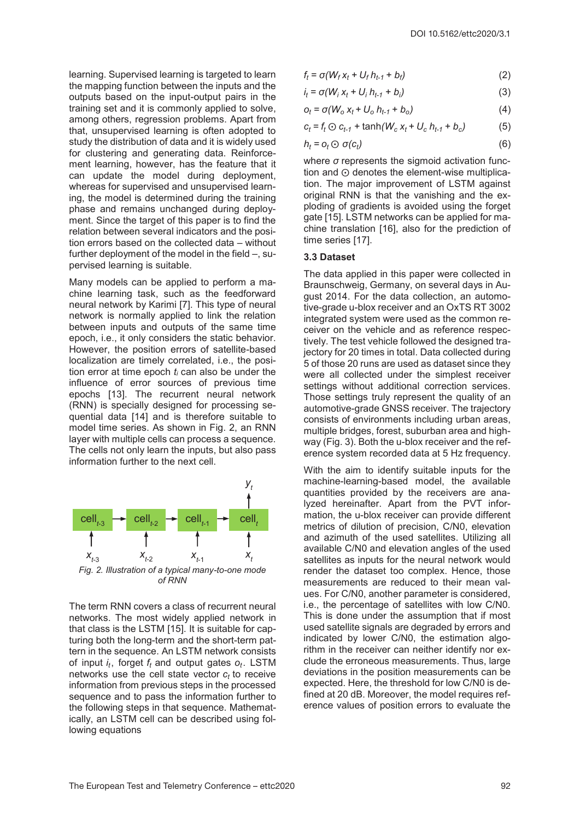learning. Supervised learning is targeted to learn the mapping function between the inputs and the outputs based on the input-output pairs in the training set and it is commonly applied to solve, among others, regression problems. Apart from that, unsupervised learning is often adopted to study the distribution of data and it is widely used for clustering and generating data. Reinforcement learning, however, has the feature that it can update the model during deployment, whereas for supervised and unsupervised learning, the model is determined during the training phase and remains unchanged during deployment. Since the target of this paper is to find the relation between several indicators and the position errors based on the collected data – without further deployment of the model in the field –, supervised learning is suitable.

Many models can be applied to perform a machine learning task, such as the feedforward neural network by Karimi [7]. This type of neural network is normally applied to link the relation between inputs and outputs of the same time epoch, i.e., it only considers the static behavior. However, the position errors of satellite-based localization are timely correlated, i.e., the position error at time epoch *ti* can also be under the influence of error sources of previous time epochs [13]. The recurrent neural network (RNN) is specially designed for processing sequential data [14] and is therefore suitable to model time series. As shown in Fig. 2, an RNN layer with multiple cells can process a sequence. The cells not only learn the inputs, but also pass information further to the next cell.



The term RNN covers a class of recurrent neural networks. The most widely applied network in that class is the LSTM [15]. It is suitable for capturing both the long-term and the short-term pattern in the sequence. An LSTM network consists of input *i<sub>t</sub>*, forget *f<sub>t</sub>* and output gates  $o_t$ . LSTM networks use the cell state vector  $c_t$  to receive information from previous steps in the processed sequence and to pass the information further to the following steps in that sequence. Mathematically, an LSTM cell can be described using following equations

$$
f_t = \sigma(W_f x_t + U_f h_{t-1} + b_f) \tag{2}
$$

$$
i_t = \sigma(W_i x_t + U_i h_{t-1} + b_i)
$$
\n(3)

$$
o_t = \sigma(W_0 \, x_t + U_0 \, h_{t-1} + b_0) \tag{4}
$$

$$
c_t = f_t \odot c_{t-1} + \tanh(W_c x_t + U_c h_{t-1} + b_c)
$$
 (5)

$$
h_t = o_t \odot \sigma(c_t) \tag{6}
$$

where *σ* represents the sigmoid activation function and  $\odot$  denotes the element-wise multiplication. The major improvement of LSTM against original RNN is that the vanishing and the exploding of gradients is avoided using the forget gate [15]. LSTM networks can be applied for machine translation [16], also for the prediction of time series [17].

#### **3.3 Dataset**

The data applied in this paper were collected in Braunschweig, Germany, on several days in August 2014. For the data collection, an automotive-grade u-blox receiver and an OxTS RT 3002 integrated system were used as the common receiver on the vehicle and as reference respectively. The test vehicle followed the designed trajectory for 20 times in total. Data collected during 5 of those 20 runs are used as dataset since they were all collected under the simplest receiver settings without additional correction services. Those settings truly represent the quality of an automotive-grade GNSS receiver. The trajectory consists of environments including urban areas, multiple bridges, forest, suburban area and highway (Fig. 3). Both the u-blox receiver and the reference system recorded data at 5 Hz frequency.

With the aim to identify suitable inputs for the machine-learning-based model, the available quantities provided by the receivers are analyzed hereinafter. Apart from the PVT information, the u-blox receiver can provide different metrics of dilution of precision, C/N0, elevation and azimuth of the used satellites. Utilizing all available C/N0 and elevation angles of the used satellites as inputs for the neural network would render the dataset too complex. Hence, those measurements are reduced to their mean values. For C/N0, another parameter is considered, i.e., the percentage of satellites with low C/N0. This is done under the assumption that if most used satellite signals are degraded by errors and indicated by lower C/N0, the estimation algorithm in the receiver can neither identify nor exclude the erroneous measurements. Thus, large deviations in the position measurements can be expected. Here, the threshold for low C/N0 is defined at 20 dB. Moreover, the model requires reference values of position errors to evaluate the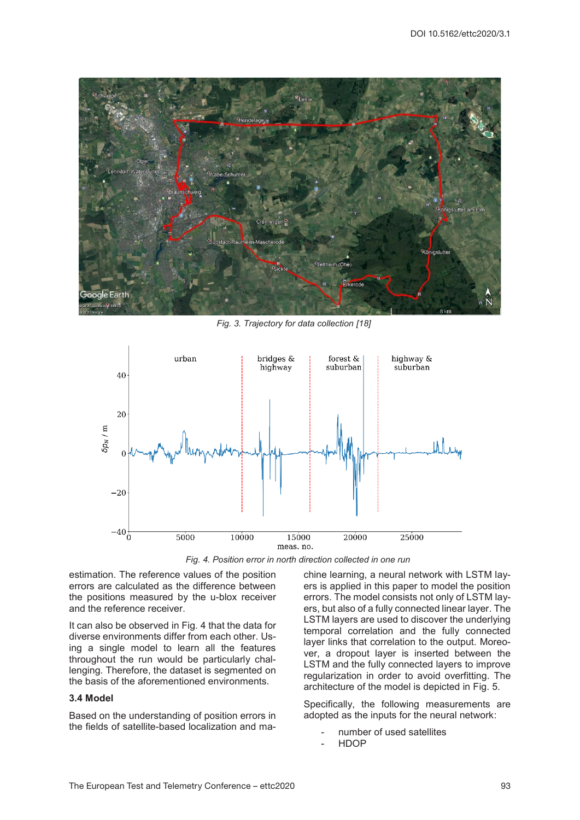

*Fig. 3. Trajectory for data collection [18]*



*Fig. 4. Position error in north direction collected in one run*

estimation. The reference values of the position errors are calculated as the difference between the positions measured by the u-blox receiver and the reference receiver.

It can also be observed in Fig. 4 that the data for diverse environments differ from each other. Using a single model to learn all the features throughout the run would be particularly challenging. Therefore, the dataset is segmented on the basis of the aforementioned environments.

# **3.4 Model**

Based on the understanding of position errors in the fields of satellite-based localization and machine learning, a neural network with LSTM layers is applied in this paper to model the position errors. The model consists not only of LSTM layers, but also of a fully connected linear layer. The LSTM layers are used to discover the underlying temporal correlation and the fully connected layer links that correlation to the output. Moreover, a dropout layer is inserted between the LSTM and the fully connected layers to improve regularization in order to avoid overfitting. The architecture of the model is depicted in Fig. 5.

Specifically, the following measurements are adopted as the inputs for the neural network:

- number of used satellites
- HDOP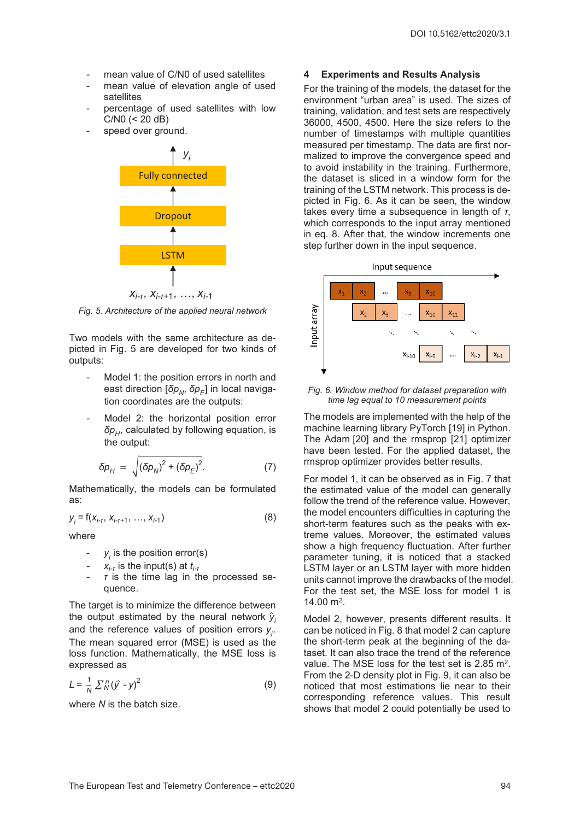- mean value of C/N0 of used satellites
- mean value of elevation angle of used satellites
- percentage of used satellites with low C/N0 (< 20 dB)
- speed over ground.



*Fig. 5. Architecture of the applied neural network*

Two models with the same architecture as depicted in Fig. 5 are developed for two kinds of outputs:

- Model 1: the position errors in north and east direction [δ $p<sub>N</sub>$ , δ $p<sub>E</sub>$ ] in local navigation coordinates are the outputs:
- Model 2: the horizontal position error *δp<sub>H</sub>*, calculated by following equation, is the output:

$$
\delta p_{H} = \sqrt{\left(\delta p_{N}\right)^{2} + \left(\delta p_{E}\right)^{2}}.
$$
 (7)

Mathematically, the models can be formulated as:

$$
y_{i} = f(x_{i-1}, x_{i-1+1}, \ldots, x_{i-1})
$$
 (8)

where

- $y_i$  is the position error(s)
- *xi-<sup>τ</sup>* is the input(s) at *ti-<sup>τ</sup>*
- *τ* is the time lag in the processed sequence.

The target is to minimize the difference between the output estimated by the neural network  $\hat{y}_i$ and the reference values of position errors *yi* . The mean squared error (MSE) is used as the loss function. Mathematically, the MSE loss is expressed as

$$
L = \frac{1}{N} \sum_{N}^{n} (\hat{y} - y)^2
$$
 (9)

where *N* is the batch size.

## **4 Experiments and Results Analysis**

For the training of the models, the dataset for the environment "urban area" is used. The sizes of training, validation, and test sets are respectively 36000, 4500, 4500. Here the size refers to the number of timestamps with multiple quantities measured per timestamp. The data are first normalized to improve the convergence speed and to avoid instability in the training. Furthermore, the dataset is sliced in a window form for the training of the LSTM network. This process is depicted in Fig. 6. As it can be seen, the window takes every time a subsequence in length of *τ*, which corresponds to the input array mentioned in eq. 8*.* After that, the window increments one step further down in the input sequence.



*Fig. 6. Window method for dataset preparation with time lag equal to 10 measurement points*

The models are implemented with the help of the machine learning library PyTorch [19] in Python. The Adam [20] and the rmsprop [21] optimizer have been tested. For the applied dataset, the rmsprop optimizer provides better results.

For model 1, it can be observed as in Fig. 7 that the estimated value of the model can generally follow the trend of the reference value. However, the model encounters difficulties in capturing the short-term features such as the peaks with extreme values. Moreover, the estimated values show a high frequency fluctuation. After further parameter tuning, it is noticed that a stacked LSTM layer or an LSTM layer with more hidden units cannot improve the drawbacks of the model. For the test set, the MSE loss for model 1 is 14.00 m2.

Model 2, however, presents different results. It can be noticed in Fig. 8 that model 2 can capture the short-term peak at the beginning of the dataset. It can also trace the trend of the reference value. The MSE loss for the test set is 2.85 m<sup>2</sup>. From the 2-D density plot in Fig. 9, it can also be noticed that most estimations lie near to their corresponding reference values. This result shows that model 2 could potentially be used to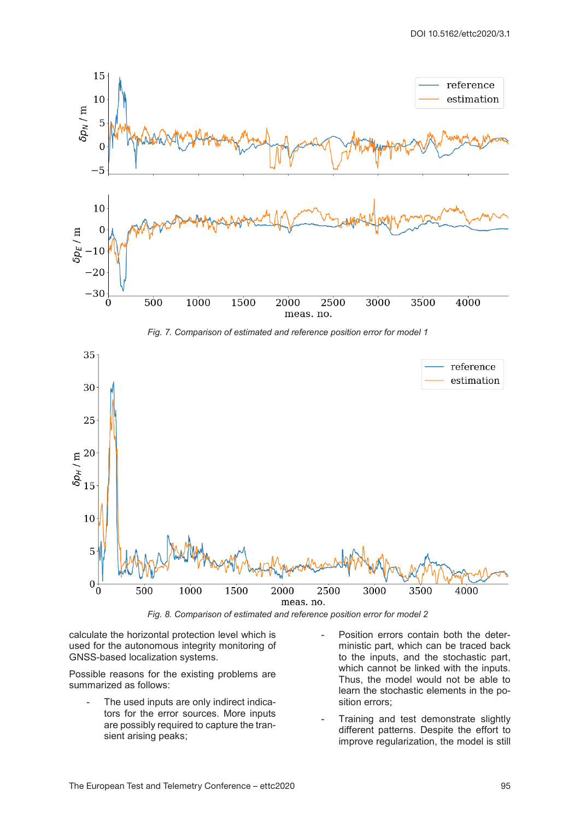

*Fig. 8. Comparison of estimated and reference position error for model 2*

calculate the horizontal protection level which is used for the autonomous integrity monitoring of GNSS-based localization systems.

Possible reasons for the existing problems are summarized as follows:

- The used inputs are only indirect indicators for the error sources. More inputs are possibly required to capture the transient arising peaks;
- Position errors contain both the deterministic part, which can be traced back to the inputs, and the stochastic part, which cannot be linked with the inputs. Thus, the model would not be able to learn the stochastic elements in the position errors;
- Training and test demonstrate slightly different patterns. Despite the effort to improve regularization, the model is still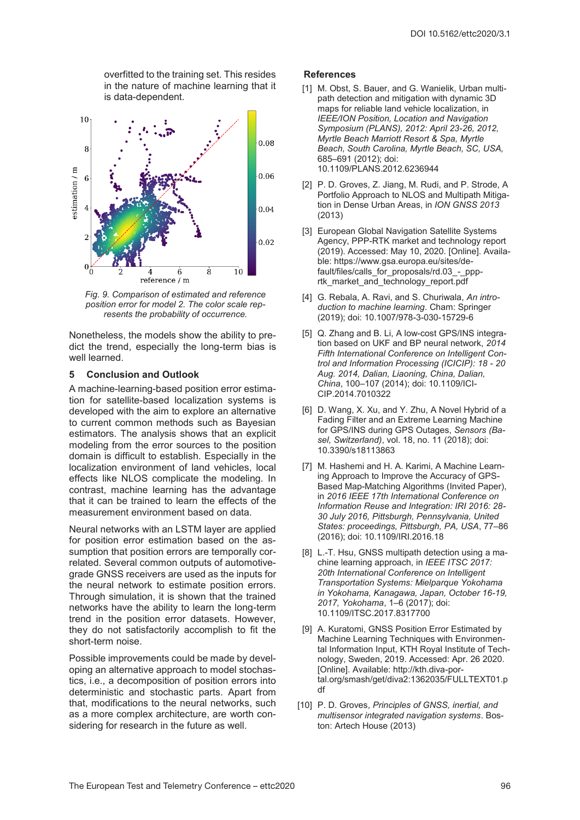overfitted to the training set. This resides in the nature of machine learning that it is data-dependent.



*Fig. 9. Comparison of estimated and reference position error for model 2. The color scale represents the probability of occurrence.*

Nonetheless, the models show the ability to predict the trend, especially the long-term bias is well learned.

#### **5 Conclusion and Outlook**

A machine-learning-based position error estimation for satellite-based localization systems is developed with the aim to explore an alternative to current common methods such as Bayesian estimators. The analysis shows that an explicit modeling from the error sources to the position domain is difficult to establish. Especially in the localization environment of land vehicles, local effects like NLOS complicate the modeling. In contrast, machine learning has the advantage that it can be trained to learn the effects of the measurement environment based on data.

Neural networks with an LSTM layer are applied for position error estimation based on the assumption that position errors are temporally correlated. Several common outputs of automotivegrade GNSS receivers are used as the inputs for the neural network to estimate position errors. Through simulation, it is shown that the trained networks have the ability to learn the long-term trend in the position error datasets. However, they do not satisfactorily accomplish to fit the short-term noise.

Possible improvements could be made by developing an alternative approach to model stochastics, i.e., a decomposition of position errors into deterministic and stochastic parts. Apart from that, modifications to the neural networks, such as a more complex architecture, are worth considering for research in the future as well.

#### **References**

- [1] M. Obst, S. Bauer, and G. Wanielik, Urban multipath detection and mitigation with dynamic 3D maps for reliable land vehicle localization, in *IEEE/ION Position, Location and Navigation Symposium (PLANS), 2012: April 23-26, 2012, Myrtle Beach Marriott Resort & Spa, Myrtle Beach, South Carolina, Myrtle Beach, SC, USA,* 685–691 (2012); doi: 10.1109/PLANS.2012.6236944
- [2] P. D. Groves, Z. Jiang, M. Rudi, and P. Strode, A Portfolio Approach to NLOS and Multipath Mitigation in Dense Urban Areas, in *ION GNSS 2013* (2013)
- [3] European Global Navigation Satellite Systems Agency, PPP-RTK market and technology report (2019). Accessed: May 10, 2020. [Online]. Available: https://www.gsa.europa.eu/sites/default/files/calls\_for\_proposals/rd.03\_-\_ppprtk\_market\_and\_technology\_report.pdf
- [4] G. Rebala, A. Ravi, and S. Churiwala, *An introduction to machine learning*. Cham: Springer (2019); doi: 10.1007/978-3-030-15729-6
- [5] Q. Zhang and B. Li, A low-cost GPS/INS integration based on UKF and BP neural network, *2014 Fifth International Conference on Intelligent Control and Information Processing (ICICIP): 18 - 20 Aug. 2014, Dalian, Liaoning, China, Dalian, China*, 100–107 (2014); doi: 10.1109/ICI-CIP.2014.7010322
- [6] D. Wang, X. Xu, and Y. Zhu, A Novel Hybrid of a Fading Filter and an Extreme Learning Machine for GPS/INS during GPS Outages, *Sensors (Basel, Switzerland)*, vol. 18, no. 11 (2018); doi: 10.3390/s18113863
- [7] M. Hashemi and H. A. Karimi, A Machine Learning Approach to Improve the Accuracy of GPS-Based Map-Matching Algorithms (Invited Paper), in *2016 IEEE 17th International Conference on Information Reuse and Integration: IRI 2016: 28- 30 July 2016, Pittsburgh, Pennsylvania, United States: proceedings, Pittsburgh, PA, USA*, 77–86 (2016); doi: 10.1109/IRI.2016.18
- [8] L.-T. Hsu, GNSS multipath detection using a machine learning approach, in *IEEE ITSC 2017: 20th International Conference on Intelligent Transportation Systems: Mielparque Yokohama in Yokohama, Kanagawa, Japan, October 16-19, 2017, Yokohama*, 1–6 (2017); doi: 10.1109/ITSC.2017.8317700
- [9] A. Kuratomi, GNSS Position Error Estimated by Machine Learning Techniques with Environmental Information Input, KTH Royal Institute of Technology, Sweden, 2019. Accessed: Apr. 26 2020. [Online]. Available: http://kth.diva-portal.org/smash/get/diva2:1362035/FULLTEXT01.p df
- [10] P. D. Groves, *Principles of GNSS*, *inertial*, and *multisensor integrated navigation systems*. Boston: Artech House (2013)